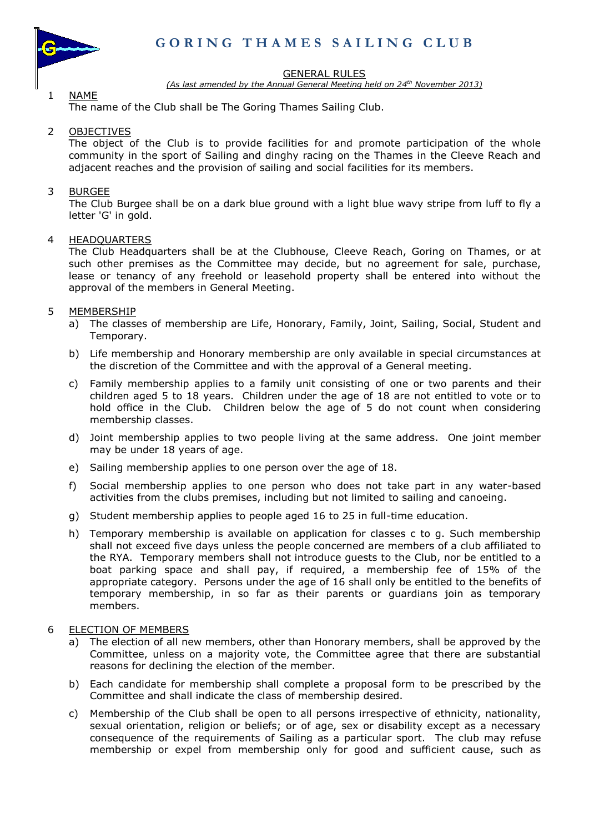

1 NAME

### GENERAL RULES

*(As last amended by the Annual General Meeting held on 24 th November 2013)*

The name of the Club shall be The Goring Thames Sailing Club.

# 2 OBJECTIVES

The object of the Club is to provide facilities for and promote participation of the whole community in the sport of Sailing and dinghy racing on the Thames in the Cleeve Reach and adjacent reaches and the provision of sailing and social facilities for its members.

# 3 BURGEE

The Club Burgee shall be on a dark blue ground with a light blue wavy stripe from luff to fly a letter 'G' in gold.

### 4 HEADQUARTERS

The Club Headquarters shall be at the Clubhouse, Cleeve Reach, Goring on Thames, or at such other premises as the Committee may decide, but no agreement for sale, purchase, lease or tenancy of any freehold or leasehold property shall be entered into without the approval of the members in General Meeting.

## 5 MEMBERSHIP

- a) The classes of membership are Life, Honorary, Family, Joint, Sailing, Social, Student and Temporary.
- b) Life membership and Honorary membership are only available in special circumstances at the discretion of the Committee and with the approval of a General meeting.
- c) Family membership applies to a family unit consisting of one or two parents and their children aged 5 to 18 years. Children under the age of 18 are not entitled to vote or to hold office in the Club. Children below the age of 5 do not count when considering membership classes.
- d) Joint membership applies to two people living at the same address. One joint member may be under 18 years of age.
- e) Sailing membership applies to one person over the age of 18.
- f) Social membership applies to one person who does not take part in any water-based activities from the clubs premises, including but not limited to sailing and canoeing.
- g) Student membership applies to people aged 16 to 25 in full-time education.
- h) Temporary membership is available on application for classes c to g. Such membership shall not exceed five days unless the people concerned are members of a club affiliated to the RYA. Temporary members shall not introduce guests to the Club, nor be entitled to a boat parking space and shall pay, if required, a membership fee of 15% of the appropriate category. Persons under the age of 16 shall only be entitled to the benefits of temporary membership, in so far as their parents or guardians join as temporary members.

## 6 ELECTION OF MEMBERS

- a) The election of all new members, other than Honorary members, shall be approved by the Committee, unless on a majority vote, the Committee agree that there are substantial reasons for declining the election of the member.
- b) Each candidate for membership shall complete a proposal form to be prescribed by the Committee and shall indicate the class of membership desired.
- c) Membership of the Club shall be open to all persons irrespective of ethnicity, nationality, sexual orientation, religion or beliefs; or of age, sex or disability except as a necessary consequence of the requirements of Sailing as a particular sport. The club may refuse membership or expel from membership only for good and sufficient cause, such as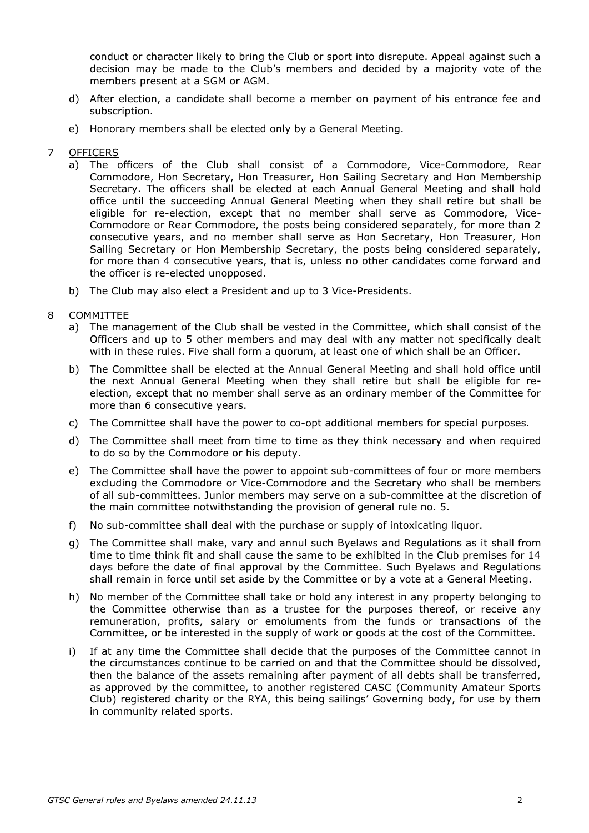conduct or character likely to bring the Club or sport into disrepute. Appeal against such a decision may be made to the Club's members and decided by a majority vote of the members present at a SGM or AGM.

- d) After election, a candidate shall become a member on payment of his entrance fee and subscription.
- e) Honorary members shall be elected only by a General Meeting.
- 7 OFFICERS
	- a) The officers of the Club shall consist of a Commodore, Vice-Commodore, Rear Commodore, Hon Secretary, Hon Treasurer, Hon Sailing Secretary and Hon Membership Secretary. The officers shall be elected at each Annual General Meeting and shall hold office until the succeeding Annual General Meeting when they shall retire but shall be eligible for re-election, except that no member shall serve as Commodore, Vice-Commodore or Rear Commodore, the posts being considered separately, for more than 2 consecutive years, and no member shall serve as Hon Secretary, Hon Treasurer, Hon Sailing Secretary or Hon Membership Secretary, the posts being considered separately, for more than 4 consecutive years, that is, unless no other candidates come forward and the officer is re-elected unopposed.
	- b) The Club may also elect a President and up to 3 Vice-Presidents.
- 8 COMMITTEE
	- a) The management of the Club shall be vested in the Committee, which shall consist of the Officers and up to 5 other members and may deal with any matter not specifically dealt with in these rules. Five shall form a quorum, at least one of which shall be an Officer.
	- b) The Committee shall be elected at the Annual General Meeting and shall hold office until the next Annual General Meeting when they shall retire but shall be eligible for reelection, except that no member shall serve as an ordinary member of the Committee for more than 6 consecutive years.
	- c) The Committee shall have the power to co-opt additional members for special purposes.
	- d) The Committee shall meet from time to time as they think necessary and when required to do so by the Commodore or his deputy.
	- e) The Committee shall have the power to appoint sub-committees of four or more members excluding the Commodore or Vice-Commodore and the Secretary who shall be members of all sub-committees. Junior members may serve on a sub-committee at the discretion of the main committee notwithstanding the provision of general rule no. 5.
	- f) No sub-committee shall deal with the purchase or supply of intoxicating liquor.
	- g) The Committee shall make, vary and annul such Byelaws and Regulations as it shall from time to time think fit and shall cause the same to be exhibited in the Club premises for 14 days before the date of final approval by the Committee. Such Byelaws and Regulations shall remain in force until set aside by the Committee or by a vote at a General Meeting.
	- h) No member of the Committee shall take or hold any interest in any property belonging to the Committee otherwise than as a trustee for the purposes thereof, or receive any remuneration, profits, salary or emoluments from the funds or transactions of the Committee, or be interested in the supply of work or goods at the cost of the Committee.
	- i) If at any time the Committee shall decide that the purposes of the Committee cannot in the circumstances continue to be carried on and that the Committee should be dissolved, then the balance of the assets remaining after payment of all debts shall be transferred, as approved by the committee, to another registered CASC (Community Amateur Sports Club) registered charity or the RYA, this being sailings' Governing body, for use by them in community related sports.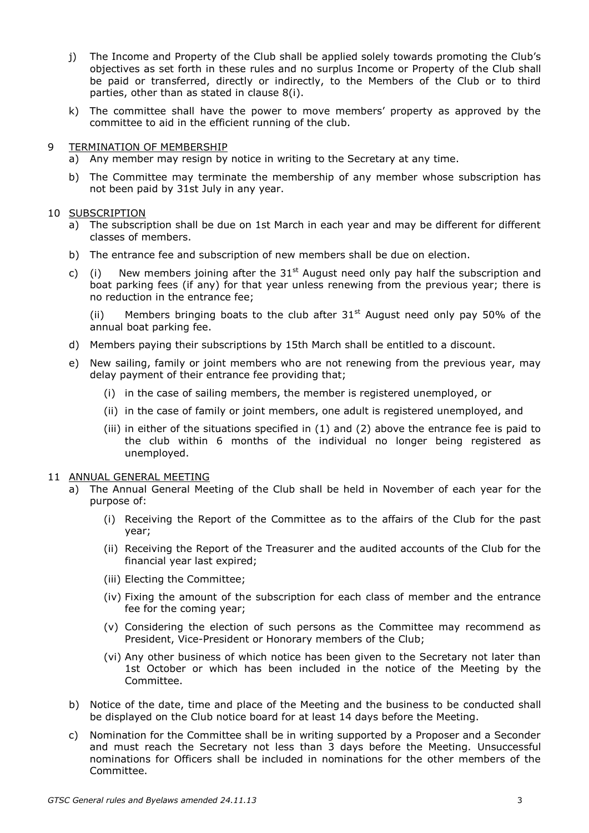- j) The Income and Property of the Club shall be applied solely towards promoting the Club's objectives as set forth in these rules and no surplus Income or Property of the Club shall be paid or transferred, directly or indirectly, to the Members of the Club or to third parties, other than as stated in clause 8(i).
- k) The committee shall have the power to move members' property as approved by the committee to aid in the efficient running of the club.

### 9 TERMINATION OF MEMBERSHIP

- a) Any member may resign by notice in writing to the Secretary at any time.
- b) The Committee may terminate the membership of any member whose subscription has not been paid by 31st July in any year.

#### 10 SUBSCRIPTION

- a) The subscription shall be due on 1st March in each year and may be different for different classes of members.
- b) The entrance fee and subscription of new members shall be due on election.
- c) (i) New members joining after the  $31<sup>st</sup>$  August need only pay half the subscription and boat parking fees (if any) for that year unless renewing from the previous year; there is no reduction in the entrance fee;

(ii) Members bringing boats to the club after  $31<sup>st</sup>$  August need only pay 50% of the annual boat parking fee.

- d) Members paying their subscriptions by 15th March shall be entitled to a discount.
- e) New sailing, family or joint members who are not renewing from the previous year, may delay payment of their entrance fee providing that;
	- (i) in the case of sailing members, the member is registered unemployed, or
	- (ii) in the case of family or joint members, one adult is registered unemployed, and
	- (iii) in either of the situations specified in (1) and (2) above the entrance fee is paid to the club within 6 months of the individual no longer being registered as unemployed.

#### 11 ANNUAL GENERAL MEETING

- a) The Annual General Meeting of the Club shall be held in November of each year for the purpose of:
	- (i) Receiving the Report of the Committee as to the affairs of the Club for the past year;
	- (ii) Receiving the Report of the Treasurer and the audited accounts of the Club for the financial year last expired;
	- (iii) Electing the Committee;
	- (iv) Fixing the amount of the subscription for each class of member and the entrance fee for the coming year;
	- (v) Considering the election of such persons as the Committee may recommend as President, Vice-President or Honorary members of the Club;
	- (vi) Any other business of which notice has been given to the Secretary not later than 1st October or which has been included in the notice of the Meeting by the Committee.
- b) Notice of the date, time and place of the Meeting and the business to be conducted shall be displayed on the Club notice board for at least 14 days before the Meeting.
- c) Nomination for the Committee shall be in writing supported by a Proposer and a Seconder and must reach the Secretary not less than 3 days before the Meeting. Unsuccessful nominations for Officers shall be included in nominations for the other members of the Committee.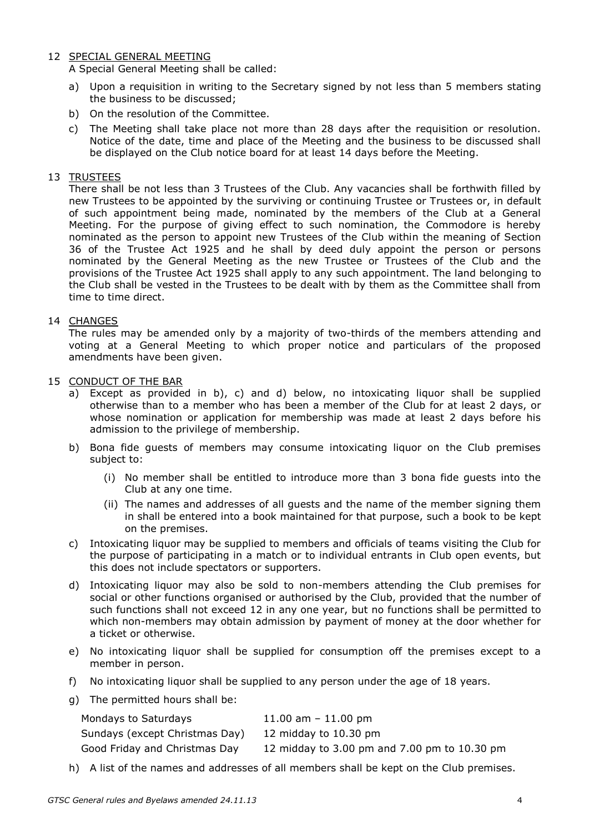# 12 SPECIAL GENERAL MEETING

A Special General Meeting shall be called:

- a) Upon a requisition in writing to the Secretary signed by not less than 5 members stating the business to be discussed;
- b) On the resolution of the Committee.
- c) The Meeting shall take place not more than 28 days after the requisition or resolution. Notice of the date, time and place of the Meeting and the business to be discussed shall be displayed on the Club notice board for at least 14 days before the Meeting.

# 13 TRUSTEES

There shall be not less than 3 Trustees of the Club. Any vacancies shall be forthwith filled by new Trustees to be appointed by the surviving or continuing Trustee or Trustees or, in default of such appointment being made, nominated by the members of the Club at a General Meeting. For the purpose of giving effect to such nomination, the Commodore is hereby nominated as the person to appoint new Trustees of the Club within the meaning of Section 36 of the Trustee Act 1925 and he shall by deed duly appoint the person or persons nominated by the General Meeting as the new Trustee or Trustees of the Club and the provisions of the Trustee Act 1925 shall apply to any such appointment. The land belonging to the Club shall be vested in the Trustees to be dealt with by them as the Committee shall from time to time direct.

## 14 CHANGES

The rules may be amended only by a majority of two-thirds of the members attending and voting at a General Meeting to which proper notice and particulars of the proposed amendments have been given.

### 15 CONDUCT OF THE BAR

- a) Except as provided in b), c) and d) below, no intoxicating liquor shall be supplied otherwise than to a member who has been a member of the Club for at least 2 days, or whose nomination or application for membership was made at least 2 days before his admission to the privilege of membership.
- b) Bona fide guests of members may consume intoxicating liquor on the Club premises subject to:
	- (i) No member shall be entitled to introduce more than 3 bona fide guests into the Club at any one time.
	- (ii) The names and addresses of all guests and the name of the member signing them in shall be entered into a book maintained for that purpose, such a book to be kept on the premises.
- c) Intoxicating liquor may be supplied to members and officials of teams visiting the Club for the purpose of participating in a match or to individual entrants in Club open events, but this does not include spectators or supporters.
- d) Intoxicating liquor may also be sold to non-members attending the Club premises for social or other functions organised or authorised by the Club, provided that the number of such functions shall not exceed 12 in any one year, but no functions shall be permitted to which non-members may obtain admission by payment of money at the door whether for a ticket or otherwise.
- e) No intoxicating liquor shall be supplied for consumption off the premises except to a member in person.
- f) No intoxicating liquor shall be supplied to any person under the age of 18 years.
- g) The permitted hours shall be:

| Mondays to Saturdays           | 11.00 am $-$ 11.00 pm                        |
|--------------------------------|----------------------------------------------|
| Sundays (except Christmas Day) | 12 midday to 10.30 pm                        |
| Good Friday and Christmas Day  | 12 midday to 3.00 pm and 7.00 pm to 10.30 pm |

h) A list of the names and addresses of all members shall be kept on the Club premises.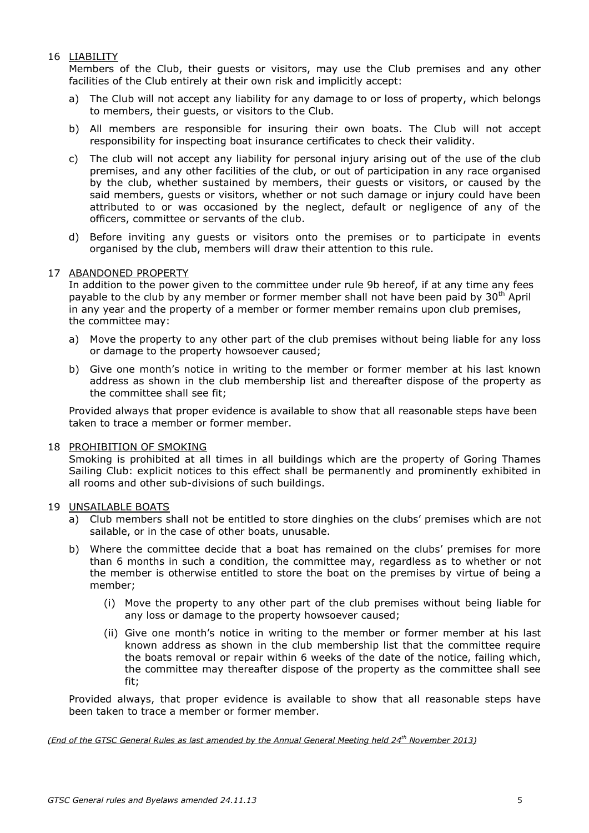# 16 LIABILITY

Members of the Club, their guests or visitors, may use the Club premises and any other facilities of the Club entirely at their own risk and implicitly accept:

- a) The Club will not accept any liability for any damage to or loss of property, which belongs to members, their guests, or visitors to the Club.
- b) All members are responsible for insuring their own boats. The Club will not accept responsibility for inspecting boat insurance certificates to check their validity.
- c) The club will not accept any liability for personal injury arising out of the use of the club premises, and any other facilities of the club, or out of participation in any race organised by the club, whether sustained by members, their guests or visitors, or caused by the said members, guests or visitors, whether or not such damage or injury could have been attributed to or was occasioned by the neglect, default or negligence of any of the officers, committee or servants of the club.
- d) Before inviting any guests or visitors onto the premises or to participate in events organised by the club, members will draw their attention to this rule.

## 17 ABANDONED PROPERTY

In addition to the power given to the committee under rule 9b hereof, if at any time any fees payable to the club by any member or former member shall not have been paid by 30<sup>th</sup> April in any year and the property of a member or former member remains upon club premises, the committee may:

- a) Move the property to any other part of the club premises without being liable for any loss or damage to the property howsoever caused;
- b) Give one month's notice in writing to the member or former member at his last known address as shown in the club membership list and thereafter dispose of the property as the committee shall see fit;

Provided always that proper evidence is available to show that all reasonable steps have been taken to trace a member or former member.

## 18 PROHIBITION OF SMOKING

Smoking is prohibited at all times in all buildings which are the property of Goring Thames Sailing Club: explicit notices to this effect shall be permanently and prominently exhibited in all rooms and other sub-divisions of such buildings.

#### 19 UNSAILABLE BOATS

- a) Club members shall not be entitled to store dinghies on the clubs' premises which are not sailable, or in the case of other boats, unusable.
- b) Where the committee decide that a boat has remained on the clubs' premises for more than 6 months in such a condition, the committee may, regardless as to whether or not the member is otherwise entitled to store the boat on the premises by virtue of being a member;
	- (i) Move the property to any other part of the club premises without being liable for any loss or damage to the property howsoever caused;
	- (ii) Give one month's notice in writing to the member or former member at his last known address as shown in the club membership list that the committee require the boats removal or repair within 6 weeks of the date of the notice, failing which, the committee may thereafter dispose of the property as the committee shall see fit;

Provided always, that proper evidence is available to show that all reasonable steps have been taken to trace a member or former member.

*(End of the GTSC General Rules as last amended by the Annual General Meeting held 24 th November 2013)*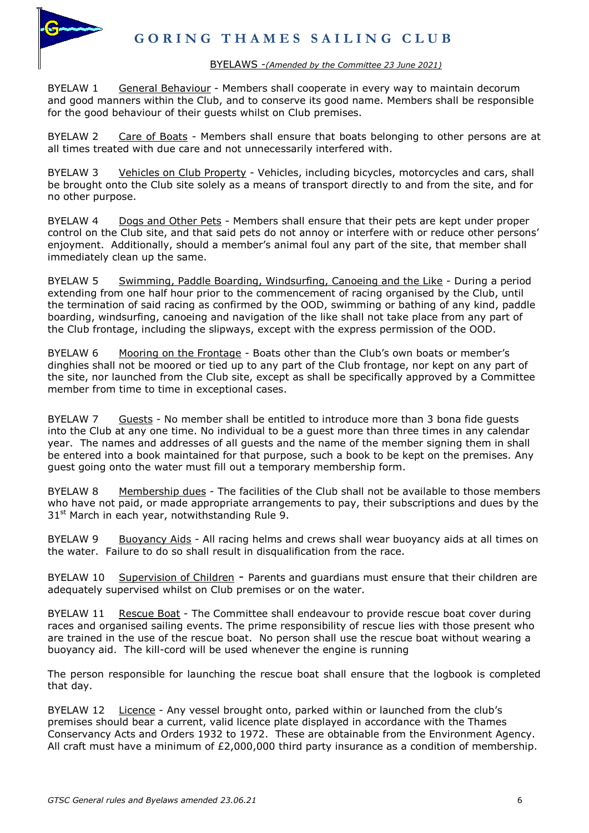

### BYELAWS -*(Amended by the Committee 23 June 2021)*

BYELAW 1 General Behaviour - Members shall cooperate in every way to maintain decorum and good manners within the Club, and to conserve its good name. Members shall be responsible for the good behaviour of their guests whilst on Club premises.

BYELAW 2 Care of Boats - Members shall ensure that boats belonging to other persons are at all times treated with due care and not unnecessarily interfered with.

BYELAW 3 Vehicles on Club Property - Vehicles, including bicycles, motorcycles and cars, shall be brought onto the Club site solely as a means of transport directly to and from the site, and for no other purpose.

BYELAW 4 Dogs and Other Pets - Members shall ensure that their pets are kept under proper control on the Club site, and that said pets do not annoy or interfere with or reduce other persons' enjoyment. Additionally, should a member's animal foul any part of the site, that member shall immediately clean up the same.

BYELAW 5 Swimming, Paddle Boarding, Windsurfing, Canoeing and the Like - During a period extending from one half hour prior to the commencement of racing organised by the Club, until the termination of said racing as confirmed by the OOD, swimming or bathing of any kind, paddle boarding, windsurfing, canoeing and navigation of the like shall not take place from any part of the Club frontage, including the slipways, except with the express permission of the OOD.

BYELAW 6 Mooring on the Frontage - Boats other than the Club's own boats or member's dinghies shall not be moored or tied up to any part of the Club frontage, nor kept on any part of the site, nor launched from the Club site, except as shall be specifically approved by a Committee member from time to time in exceptional cases.

BYELAW 7 Guests - No member shall be entitled to introduce more than 3 bona fide quests into the Club at any one time. No individual to be a guest more than three times in any calendar year. The names and addresses of all guests and the name of the member signing them in shall be entered into a book maintained for that purpose, such a book to be kept on the premises. Any guest going onto the water must fill out a temporary membership form.

BYELAW 8 Membership dues - The facilities of the Club shall not be available to those members who have not paid, or made appropriate arrangements to pay, their subscriptions and dues by the 31<sup>st</sup> March in each year, notwithstanding Rule 9.

BYELAW 9 Buoyancy Aids - All racing helms and crews shall wear buoyancy aids at all times on the water. Failure to do so shall result in disqualification from the race.

BYELAW 10 Supervision of Children - Parents and guardians must ensure that their children are adequately supervised whilst on Club premises or on the water.

BYELAW 11 Rescue Boat - The Committee shall endeavour to provide rescue boat cover during races and organised sailing events. The prime responsibility of rescue lies with those present who are trained in the use of the rescue boat. No person shall use the rescue boat without wearing a buoyancy aid. The kill-cord will be used whenever the engine is running

The person responsible for launching the rescue boat shall ensure that the logbook is completed that day.

BYELAW 12 Licence - Any vessel brought onto, parked within or launched from the club's premises should bear a current, valid licence plate displayed in accordance with the Thames Conservancy Acts and Orders 1932 to 1972. These are obtainable from the Environment Agency. All craft must have a minimum of  $E2,000,000$  third party insurance as a condition of membership.